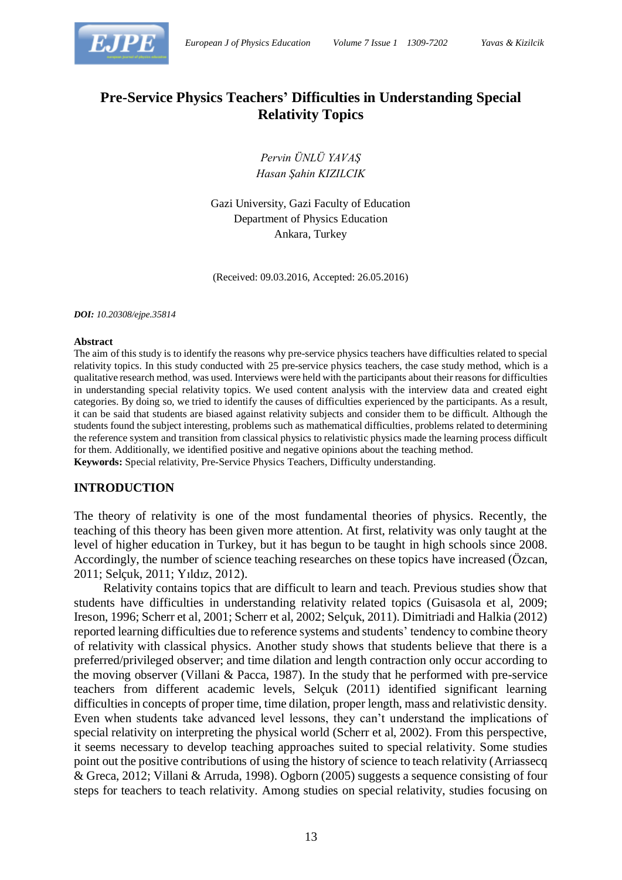

# **Pre-Service Physics Teachers' Difficulties in Understanding Special Relativity Topics**

*Pervin ÜNLÜ YAVAŞ Hasan Şahin KIZILCIK*

Gazi University, Gazi Faculty of Education Department of Physics Education Ankara, Turkey

(Received: 09.03.2016, Accepted: 26.05.2016)

*DOI: 10.20308/ejpe.35814*

#### **Abstract**

The aim of this study is to identify the reasons why pre-service physics teachers have difficulties related to special relativity topics. In this study conducted with 25 pre-service physics teachers, the case study method, which is a qualitative research method, was used. Interviews were held with the participants about their reasons for difficulties in understanding special relativity topics. We used content analysis with the interview data and created eight categories. By doing so, we tried to identify the causes of difficulties experienced by the participants. As a result, it can be said that students are biased against relativity subjects and consider them to be difficult. Although the students found the subject interesting, problems such as mathematical difficulties, problems related to determining the reference system and transition from classical physics to relativistic physics made the learning process difficult for them. Additionally, we identified positive and negative opinions about the teaching method. **Keywords:** Special relativity, Pre-Service Physics Teachers, Difficulty understanding.

#### **INTRODUCTION**

The theory of relativity is one of the most fundamental theories of physics. Recently, the teaching of this theory has been given more attention. At first, relativity was only taught at the level of higher education in Turkey, but it has begun to be taught in high schools since 2008. Accordingly, the number of science teaching researches on these topics have increased (Özcan, 2011; Selçuk, 2011; Yıldız, 2012).

Relativity contains topics that are difficult to learn and teach. Previous studies show that students have difficulties in understanding relativity related topics (Guisasola et al, 2009; Ireson, 1996; Scherr et al, 2001; Scherr et al, 2002; Selçuk, 2011). Dimitriadi and Halkia (2012) reported learning difficulties due to reference systems and students' tendency to combine theory of relativity with classical physics. Another study shows that students believe that there is a preferred/privileged observer; and time dilation and length contraction only occur according to the moving observer (Villani & Pacca, 1987). In the study that he performed with pre-service teachers from different academic levels, Selçuk (2011) identified significant learning difficulties in concepts of proper time, time dilation, proper length, mass and relativistic density. Even when students take advanced level lessons, they can't understand the implications of special relativity on interpreting the physical world (Scherr et al, 2002). From this perspective, it seems necessary to develop teaching approaches suited to special relativity. Some studies point out the positive contributions of using the history of science to teach relativity (Arriassecq & Greca, 2012; Villani & Arruda, 1998). Ogborn (2005) suggests a sequence consisting of four steps for teachers to teach relativity. Among studies on special relativity, studies focusing on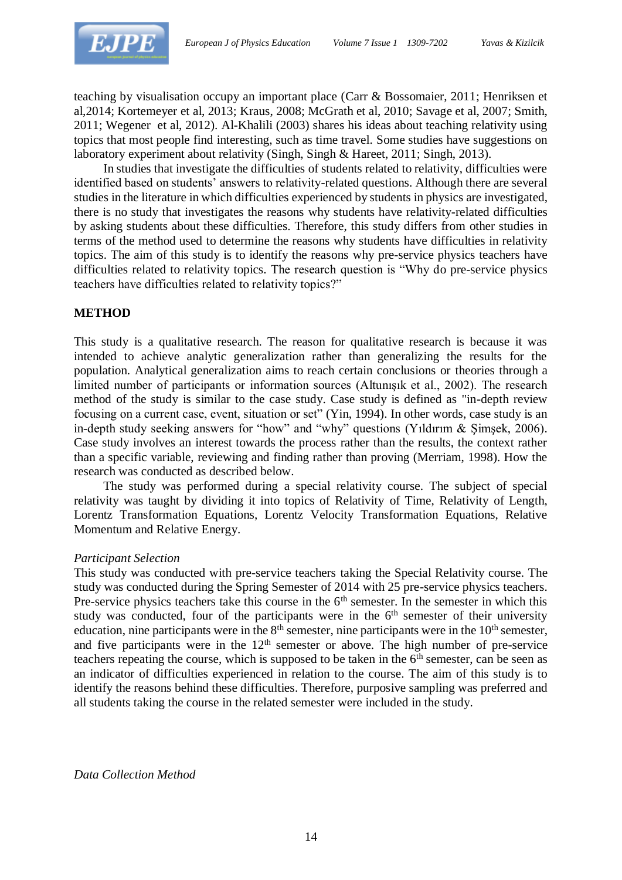

teaching by visualisation occupy an important place (Carr & Bossomaier, 2011; Henriksen et al,2014; Kortemeyer et al, 2013; Kraus, 2008; McGrath et al, 2010; Savage et al, 2007; Smith, 2011; Wegener et al, 2012). Al-Khalili (2003) shares his ideas about teaching relativity using topics that most people find interesting, such as time travel. Some studies have suggestions on laboratory experiment about relativity (Singh, Singh & Hareet, 2011; Singh, 2013).

In studies that investigate the difficulties of students related to relativity, difficulties were identified based on students' answers to relativity-related questions. Although there are several studies in the literature in which difficulties experienced by students in physics are investigated, there is no study that investigates the reasons why students have relativity-related difficulties by asking students about these difficulties. Therefore, this study differs from other studies in terms of the method used to determine the reasons why students have difficulties in relativity topics. The aim of this study is to identify the reasons why pre-service physics teachers have difficulties related to relativity topics. The research question is "Why do pre-service physics teachers have difficulties related to relativity topics?"

#### **METHOD**

This study is a qualitative research. The reason for qualitative research is because it was intended to achieve analytic generalization rather than generalizing the results for the population. Analytical generalization aims to reach certain conclusions or theories through a limited number of participants or information sources (Altunışık et al., 2002). The research method of the study is similar to the case study. Case study is defined as "in-depth review focusing on a current case, event, situation or set" (Yin, 1994). In other words, case study is an in-depth study seeking answers for "how" and "why" questions (Yıldırım & Şimşek, 2006). Case study involves an interest towards the process rather than the results, the context rather than a specific variable, reviewing and finding rather than proving (Merriam, 1998). How the research was conducted as described below.

The study was performed during a special relativity course. The subject of special relativity was taught by dividing it into topics of Relativity of Time, Relativity of Length, Lorentz Transformation Equations, Lorentz Velocity Transformation Equations, Relative Momentum and Relative Energy.

#### *Participant Selection*

This study was conducted with pre-service teachers taking the Special Relativity course. The study was conducted during the Spring Semester of 2014 with 25 pre-service physics teachers. Pre-service physics teachers take this course in the  $6<sup>th</sup>$  semester. In the semester in which this study was conducted, four of the participants were in the 6<sup>th</sup> semester of their university education, nine participants were in the  $8<sup>th</sup>$  semester, nine participants were in the  $10<sup>th</sup>$  semester, and five participants were in the  $12<sup>th</sup>$  semester or above. The high number of pre-service teachers repeating the course, which is supposed to be taken in the  $6<sup>th</sup>$  semester, can be seen as an indicator of difficulties experienced in relation to the course. The aim of this study is to identify the reasons behind these difficulties. Therefore, purposive sampling was preferred and all students taking the course in the related semester were included in the study.

*Data Collection Method*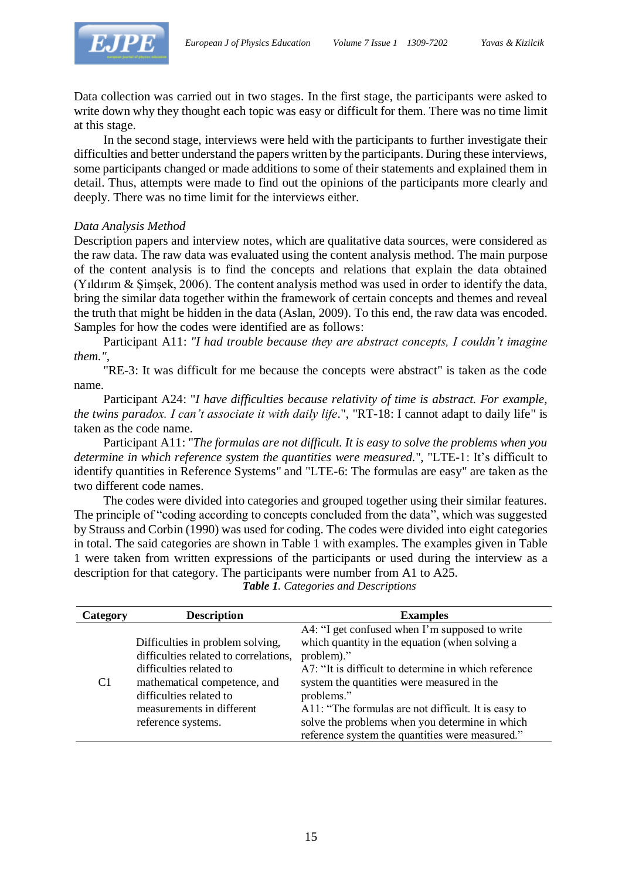

Data collection was carried out in two stages. In the first stage, the participants were asked to write down why they thought each topic was easy or difficult for them. There was no time limit at this stage.

In the second stage, interviews were held with the participants to further investigate their difficulties and better understand the papers written by the participants. During these interviews, some participants changed or made additions to some of their statements and explained them in detail. Thus, attempts were made to find out the opinions of the participants more clearly and deeply. There was no time limit for the interviews either.

#### *Data Analysis Method*

Description papers and interview notes, which are qualitative data sources, were considered as the raw data. The raw data was evaluated using the content analysis method. The main purpose of the content analysis is to find the concepts and relations that explain the data obtained (Yıldırım & Şimşek, 2006). The content analysis method was used in order to identify the data, bring the similar data together within the framework of certain concepts and themes and reveal the truth that might be hidden in the data (Aslan, 2009). To this end, the raw data was encoded. Samples for how the codes were identified are as follows:

Participant A11: *"I had trouble because they are abstract concepts, I couldn't imagine them."*,

"RE-3: It was difficult for me because the concepts were abstract" is taken as the code name.

Participant A24: "*I have difficulties because relativity of time is abstract. For example, the twins paradox. I can't associate it with daily life*.", "RT-18: I cannot adapt to daily life" is taken as the code name.

Participant A11: "*The formulas are not difficult. It is easy to solve the problems when you determine in which reference system the quantities were measured.*", "LTE-1: It's difficult to identify quantities in Reference Systems" and "LTE-6: The formulas are easy" are taken as the two different code names.

The codes were divided into categories and grouped together using their similar features. The principle of "coding according to concepts concluded from the data", which was suggested by Strauss and Corbin (1990) was used for coding. The codes were divided into eight categories in total. The said categories are shown in Table 1 with examples. The examples given in Table 1 were taken from written expressions of the participants or used during the interview as a description for that category. The participants were number from A1 to A25.

| Category | <b>Description</b><br><b>Examples</b>                                                                                                                                                                              |                                                                                                                                                                                                                                                                                                                                             |  |  |  |
|----------|--------------------------------------------------------------------------------------------------------------------------------------------------------------------------------------------------------------------|---------------------------------------------------------------------------------------------------------------------------------------------------------------------------------------------------------------------------------------------------------------------------------------------------------------------------------------------|--|--|--|
| C1       | Difficulties in problem solving,<br>difficulties related to correlations,<br>difficulties related to<br>mathematical competence, and<br>difficulties related to<br>measurements in different<br>reference systems. | A4: "I get confused when I'm supposed to write<br>which quantity in the equation (when solving a<br>problem)."<br>A7: "It is difficult to determine in which reference<br>system the quantities were measured in the<br>problems."<br>A11: "The formulas are not difficult. It is easy to<br>solve the problems when you determine in which |  |  |  |
|          |                                                                                                                                                                                                                    | reference system the quantities were measured."                                                                                                                                                                                                                                                                                             |  |  |  |

*Table 1. Categories and Descriptions*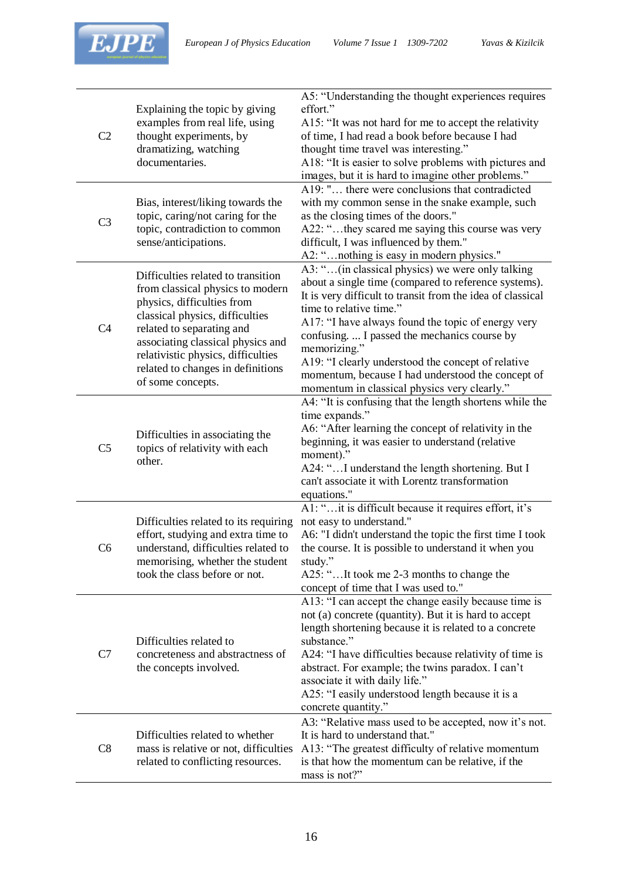

| C <sub>2</sub> | Explaining the topic by giving<br>examples from real life, using<br>thought experiments, by<br>dramatizing, watching<br>documentaries.                                                                                                                                                                    | A5: "Understanding the thought experiences requires<br>effort."<br>A15: "It was not hard for me to accept the relativity<br>of time, I had read a book before because I had<br>thought time travel was interesting."<br>A18: "It is easier to solve problems with pictures and<br>images, but it is hard to imagine other problems."                                                                                                                                               |
|----------------|-----------------------------------------------------------------------------------------------------------------------------------------------------------------------------------------------------------------------------------------------------------------------------------------------------------|------------------------------------------------------------------------------------------------------------------------------------------------------------------------------------------------------------------------------------------------------------------------------------------------------------------------------------------------------------------------------------------------------------------------------------------------------------------------------------|
| C <sub>3</sub> | Bias, interest/liking towards the<br>topic, caring/not caring for the<br>topic, contradiction to common<br>sense/anticipations.                                                                                                                                                                           | A19: " there were conclusions that contradicted<br>with my common sense in the snake example, such<br>as the closing times of the doors."<br>A22: "they scared me saying this course was very<br>difficult, I was influenced by them."<br>A2: "nothing is easy in modern physics."                                                                                                                                                                                                 |
| C <sub>4</sub> | Difficulties related to transition<br>from classical physics to modern<br>physics, difficulties from<br>classical physics, difficulties<br>related to separating and<br>associating classical physics and<br>relativistic physics, difficulties<br>related to changes in definitions<br>of some concepts. | A3: "(in classical physics) we were only talking<br>about a single time (compared to reference systems).<br>It is very difficult to transit from the idea of classical<br>time to relative time."<br>A17: "I have always found the topic of energy very<br>confusing.  I passed the mechanics course by<br>memorizing."<br>A19: "I clearly understood the concept of relative<br>momentum, because I had understood the concept of<br>momentum in classical physics very clearly." |
| C <sub>5</sub> | Difficulties in associating the<br>topics of relativity with each<br>other.                                                                                                                                                                                                                               | A4: "It is confusing that the length shortens while the<br>time expands."<br>A6: "After learning the concept of relativity in the<br>beginning, it was easier to understand (relative<br>moment)."<br>A24: "I understand the length shortening. But I<br>can't associate it with Lorentz transformation<br>equations."                                                                                                                                                             |
| C <sub>6</sub> | Difficulties related to its requiring<br>effort, studying and extra time to<br>understand, difficulties related to<br>memorising, whether the student<br>took the class before or not.                                                                                                                    | A1: "it is difficult because it requires effort, it's<br>not easy to understand."<br>A6: "I didn't understand the topic the first time I took<br>the course. It is possible to understand it when you<br>study."<br>A25: "It took me 2-3 months to change the<br>concept of time that I was used to."                                                                                                                                                                              |
| C7             | Difficulties related to<br>concreteness and abstractness of<br>the concepts involved.                                                                                                                                                                                                                     | A13: "I can accept the change easily because time is<br>not (a) concrete (quantity). But it is hard to accept<br>length shortening because it is related to a concrete<br>substance."<br>A24: "I have difficulties because relativity of time is<br>abstract. For example; the twins paradox. I can't<br>associate it with daily life."<br>A25: "I easily understood length because it is a<br>concrete quantity."                                                                 |
| C8             | Difficulties related to whether<br>mass is relative or not, difficulties<br>related to conflicting resources.                                                                                                                                                                                             | A3: "Relative mass used to be accepted, now it's not.<br>It is hard to understand that."<br>A13: "The greatest difficulty of relative momentum<br>is that how the momentum can be relative, if the<br>mass is not?"                                                                                                                                                                                                                                                                |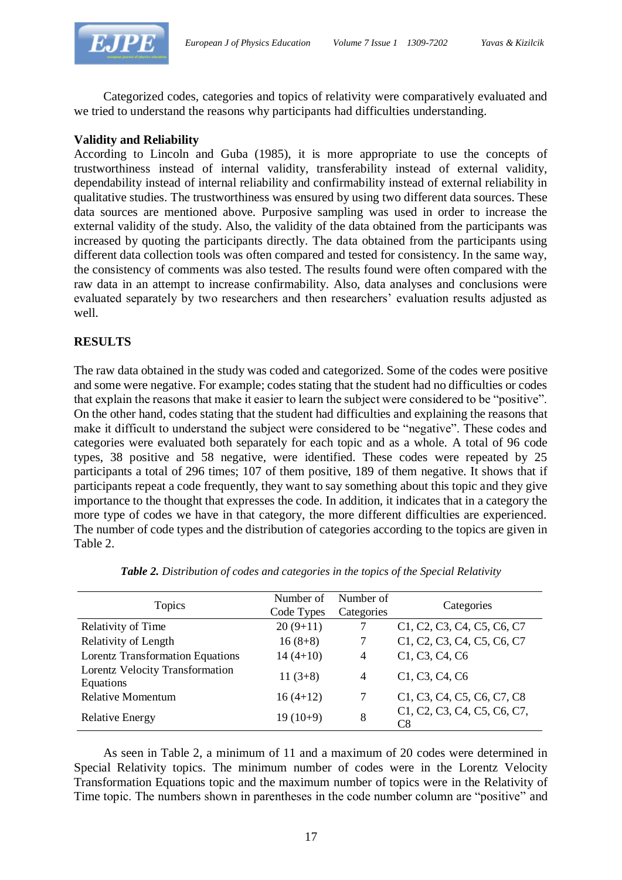

Categorized codes, categories and topics of relativity were comparatively evaluated and we tried to understand the reasons why participants had difficulties understanding.

#### **Validity and Reliability**

According to Lincoln and Guba (1985), it is more appropriate to use the concepts of trustworthiness instead of internal validity, transferability instead of external validity, dependability instead of internal reliability and confirmability instead of external reliability in qualitative studies. The trustworthiness was ensured by using two different data sources. These data sources are mentioned above. Purposive sampling was used in order to increase the external validity of the study. Also, the validity of the data obtained from the participants was increased by quoting the participants directly. The data obtained from the participants using different data collection tools was often compared and tested for consistency. In the same way, the consistency of comments was also tested. The results found were often compared with the raw data in an attempt to increase confirmability. Also, data analyses and conclusions were evaluated separately by two researchers and then researchers' evaluation results adjusted as well.

### **RESULTS**

The raw data obtained in the study was coded and categorized. Some of the codes were positive and some were negative. For example; codes stating that the student had no difficulties or codes that explain the reasons that make it easier to learn the subject were considered to be "positive". On the other hand, codes stating that the student had difficulties and explaining the reasons that make it difficult to understand the subject were considered to be "negative". These codes and categories were evaluated both separately for each topic and as a whole. A total of 96 code types, 38 positive and 58 negative, were identified. These codes were repeated by 25 participants a total of 296 times; 107 of them positive, 189 of them negative. It shows that if participants repeat a code frequently, they want to say something about this topic and they give importance to the thought that expresses the code. In addition, it indicates that in a category the more type of codes we have in that category, the more different difficulties are experienced. The number of code types and the distribution of categories according to the topics are given in Table 2.

| Topics                                       | Number of<br>Code Types | Number of<br>Categories | Categories                                                                                                           |  |  |  |
|----------------------------------------------|-------------------------|-------------------------|----------------------------------------------------------------------------------------------------------------------|--|--|--|
| <b>Relativity of Time</b>                    | $20(9+11)$              |                         | C1, C2, C3, C4, C5, C6, C7                                                                                           |  |  |  |
| Relativity of Length                         | $16(8+8)$               |                         | C1, C2, C3, C4, C5, C6, C7                                                                                           |  |  |  |
| <b>Lorentz Transformation Equations</b>      | $14(4+10)$              | $\overline{4}$          | C1, C3, C4, C6                                                                                                       |  |  |  |
| Lorentz Velocity Transformation<br>Equations | $11(3+8)$               | $\overline{4}$          | C1, C3, C4, C6                                                                                                       |  |  |  |
| <b>Relative Momentum</b>                     | $16(4+12)$              |                         | C <sub>1</sub> , C <sub>3</sub> , C <sub>4</sub> , C <sub>5</sub> , C <sub>6</sub> , C <sub>7</sub> , C <sub>8</sub> |  |  |  |
| <b>Relative Energy</b>                       | $19(10+9)$              | 8                       | C1, C2, C3, C4, C5, C6, C7,<br>C8                                                                                    |  |  |  |

*Table 2. Distribution of codes and categories in the topics of the Special Relativity*

As seen in Table 2, a minimum of 11 and a maximum of 20 codes were determined in Special Relativity topics. The minimum number of codes were in the Lorentz Velocity Transformation Equations topic and the maximum number of topics were in the Relativity of Time topic. The numbers shown in parentheses in the code number column are "positive" and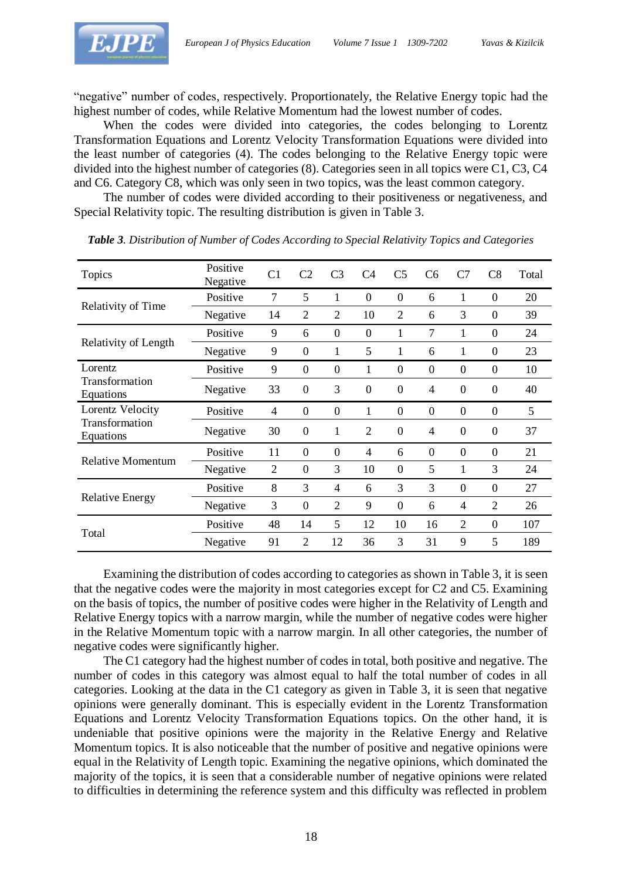

"negative" number of codes, respectively. Proportionately, the Relative Energy topic had the highest number of codes, while Relative Momentum had the lowest number of codes.

When the codes were divided into categories, the codes belonging to Lorentz Transformation Equations and Lorentz Velocity Transformation Equations were divided into the least number of categories (4). The codes belonging to the Relative Energy topic were divided into the highest number of categories (8). Categories seen in all topics were C1, C3, C4 and C6. Category C8, which was only seen in two topics, was the least common category.

The number of codes were divided according to their positiveness or negativeness, and Special Relativity topic. The resulting distribution is given in Table 3.

| Topics                      | Positive<br>Negative | C <sub>1</sub> | C <sub>2</sub>   | C <sub>3</sub> | C <sub>4</sub> | C <sub>5</sub> | C <sub>6</sub> | C7               | C8               | Total |
|-----------------------------|----------------------|----------------|------------------|----------------|----------------|----------------|----------------|------------------|------------------|-------|
|                             | Positive             | 7              | 5                | 1              | $\theta$       | $\theta$       | 6              | 1                | $\boldsymbol{0}$ | 20    |
| Relativity of Time          | Negative             | 14             | $\overline{2}$   | $\overline{2}$ | 10             | $\overline{2}$ | 6              | 3                | $\Omega$         | 39    |
|                             | Positive             | 9              | 6                | $\Omega$       | $\Omega$       | 1              | 7              | 1                | $\Omega$         | 24    |
| Relativity of Length        | Negative             | 9              | $\overline{0}$   | 1              | 5              | 1              | 6              | 1                | $\overline{0}$   | 23    |
| Lorentz                     | Positive             | 9              | $\theta$         | $\Omega$       | 1              | $\theta$       | $\overline{0}$ | $\Omega$         | $\overline{0}$   | 10    |
| Transformation<br>Equations | Negative             | 33             | $\mathbf{0}$     | 3              | $\overline{0}$ | $\mathbf{0}$   | $\overline{4}$ | $\boldsymbol{0}$ | $\boldsymbol{0}$ | 40    |
| Lorentz Velocity            | Positive             | 4              | $\theta$         | $\overline{0}$ | 1              | $\theta$       | $\theta$       | $\boldsymbol{0}$ | $\boldsymbol{0}$ | 5     |
| Transformation<br>Equations | Negative             | 30             | $\overline{0}$   | 1              | $\overline{2}$ | $\theta$       | $\overline{4}$ | $\theta$         | $\theta$         | 37    |
|                             | Positive             | 11             | $\theta$         | $\theta$       | $\overline{4}$ | 6              | $\overline{0}$ | $\Omega$         | $\Omega$         | 21    |
| <b>Relative Momentum</b>    | Negative             | $\overline{2}$ | $\theta$         | 3              | 10             | $\theta$       | 5              | 1                | 3                | 24    |
|                             | Positive             | 8              | 3                | $\overline{4}$ | 6              | 3              | 3              | $\Omega$         | $\Omega$         | 27    |
| <b>Relative Energy</b>      | Negative             | 3              | $\boldsymbol{0}$ | $\overline{2}$ | 9              | $\theta$       | 6              | 4                | $\overline{2}$   | 26    |
|                             | Positive             | 48             | 14               | 5              | 12             | 10             | 16             | $\overline{2}$   | $\Omega$         | 107   |
| Total                       | Negative             | 91             | $\mathfrak{D}$   | 12             | 36             | 3              | 31             | 9                | 5                | 189   |

*Table 3. Distribution of Number of Codes According to Special Relativity Topics and Categories*

Examining the distribution of codes according to categories as shown in Table 3, it is seen that the negative codes were the majority in most categories except for C2 and C5. Examining on the basis of topics, the number of positive codes were higher in the Relativity of Length and Relative Energy topics with a narrow margin, while the number of negative codes were higher in the Relative Momentum topic with a narrow margin. In all other categories, the number of negative codes were significantly higher.

The C1 category had the highest number of codes in total, both positive and negative. The number of codes in this category was almost equal to half the total number of codes in all categories. Looking at the data in the C1 category as given in Table 3, it is seen that negative opinions were generally dominant. This is especially evident in the Lorentz Transformation Equations and Lorentz Velocity Transformation Equations topics. On the other hand, it is undeniable that positive opinions were the majority in the Relative Energy and Relative Momentum topics. It is also noticeable that the number of positive and negative opinions were equal in the Relativity of Length topic. Examining the negative opinions, which dominated the majority of the topics, it is seen that a considerable number of negative opinions were related to difficulties in determining the reference system and this difficulty was reflected in problem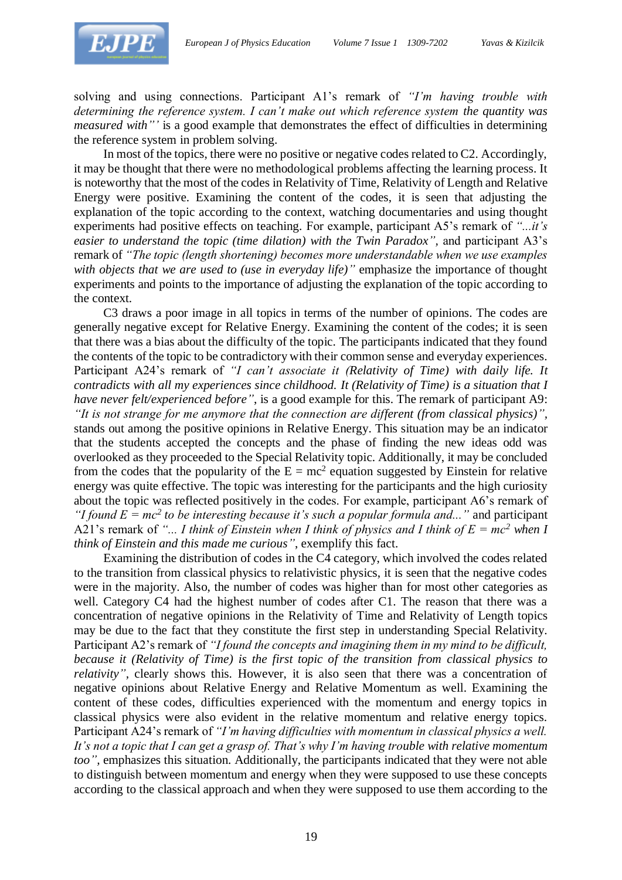

solving and using connections. Participant A1's remark of *"I'm having trouble with determining the reference system. I can't make out which reference system the quantity was measured with"'* is a good example that demonstrates the effect of difficulties in determining the reference system in problem solving.

In most of the topics, there were no positive or negative codes related to C2. Accordingly, it may be thought that there were no methodological problems affecting the learning process. It is noteworthy that the most of the codes in Relativity of Time, Relativity of Length and Relative Energy were positive. Examining the content of the codes, it is seen that adjusting the explanation of the topic according to the context, watching documentaries and using thought experiments had positive effects on teaching. For example, participant A5's remark of *"...it's easier to understand the topic (time dilation) with the Twin Paradox",* and participant A3's remark of *"The topic (length shortening) becomes more understandable when we use examples with objects that we are used to (use in everyday life)"* emphasize the importance of thought experiments and points to the importance of adjusting the explanation of the topic according to the context.

C3 draws a poor image in all topics in terms of the number of opinions. The codes are generally negative except for Relative Energy. Examining the content of the codes; it is seen that there was a bias about the difficulty of the topic. The participants indicated that they found the contents of the topic to be contradictory with their common sense and everyday experiences. Participant A24's remark of *"I can't associate it (Relativity of Time) with daily life. It contradicts with all my experiences since childhood. It (Relativity of Time) is a situation that I have never felt/experienced before"*, is a good example for this. The remark of participant A9: *"It is not strange for me anymore that the connection are different (from classical physics)",* stands out among the positive opinions in Relative Energy. This situation may be an indicator that the students accepted the concepts and the phase of finding the new ideas odd was overlooked as they proceeded to the Special Relativity topic. Additionally, it may be concluded from the codes that the popularity of the  $E = mc^2$  equation suggested by Einstein for relative energy was quite effective. The topic was interesting for the participants and the high curiosity about the topic was reflected positively in the codes. For example, participant A6's remark of *"I found*  $E = mc^2$  *to be interesting because it's such a popular formula and..."* and participant A21's remark of *"... I think of Einstein when I think of physics and I think of E = mc<sup>2</sup> when I think of Einstein and this made me curious"*, exemplify this fact.

Examining the distribution of codes in the C4 category, which involved the codes related to the transition from classical physics to relativistic physics, it is seen that the negative codes were in the majority. Also, the number of codes was higher than for most other categories as well. Category C4 had the highest number of codes after C1. The reason that there was a concentration of negative opinions in the Relativity of Time and Relativity of Length topics may be due to the fact that they constitute the first step in understanding Special Relativity. Participant A2's remark of *"I found the concepts and imagining them in my mind to be difficult, because it (Relativity of Time) is the first topic of the transition from classical physics to relativity"*, clearly shows this. However, it is also seen that there was a concentration of negative opinions about Relative Energy and Relative Momentum as well. Examining the content of these codes, difficulties experienced with the momentum and energy topics in classical physics were also evident in the relative momentum and relative energy topics. Participant A24's remark of *"I'm having difficulties with momentum in classical physics a well. It's not a topic that I can get a grasp of. That's why I'm having trouble with relative momentum too",* emphasizes this situation. Additionally, the participants indicated that they were not able to distinguish between momentum and energy when they were supposed to use these concepts according to the classical approach and when they were supposed to use them according to the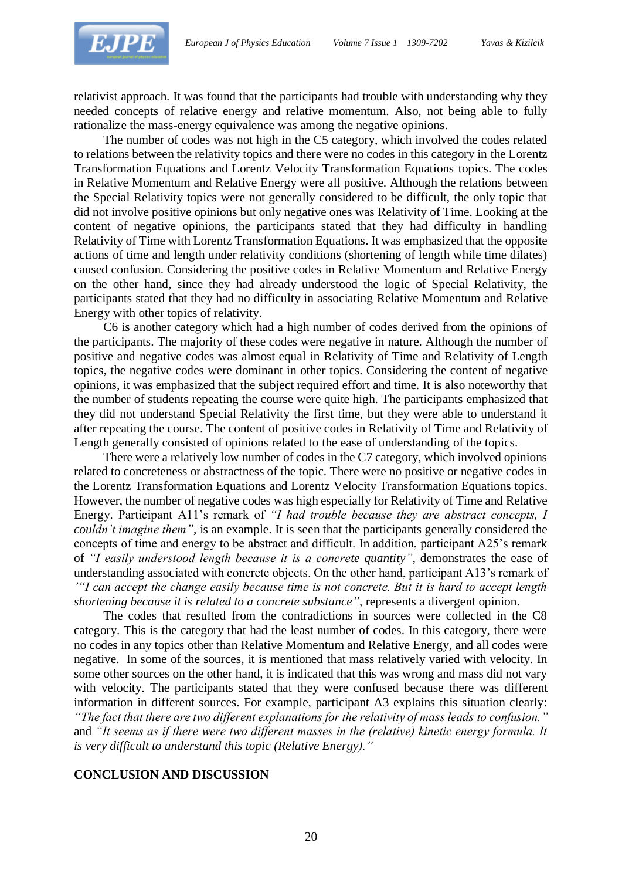

relativist approach. It was found that the participants had trouble with understanding why they needed concepts of relative energy and relative momentum. Also, not being able to fully rationalize the mass-energy equivalence was among the negative opinions.

The number of codes was not high in the C5 category, which involved the codes related to relations between the relativity topics and there were no codes in this category in the Lorentz Transformation Equations and Lorentz Velocity Transformation Equations topics. The codes in Relative Momentum and Relative Energy were all positive. Although the relations between the Special Relativity topics were not generally considered to be difficult, the only topic that did not involve positive opinions but only negative ones was Relativity of Time. Looking at the content of negative opinions, the participants stated that they had difficulty in handling Relativity of Time with Lorentz Transformation Equations. It was emphasized that the opposite actions of time and length under relativity conditions (shortening of length while time dilates) caused confusion. Considering the positive codes in Relative Momentum and Relative Energy on the other hand, since they had already understood the logic of Special Relativity, the participants stated that they had no difficulty in associating Relative Momentum and Relative Energy with other topics of relativity.

C6 is another category which had a high number of codes derived from the opinions of the participants. The majority of these codes were negative in nature. Although the number of positive and negative codes was almost equal in Relativity of Time and Relativity of Length topics, the negative codes were dominant in other topics. Considering the content of negative opinions, it was emphasized that the subject required effort and time. It is also noteworthy that the number of students repeating the course were quite high. The participants emphasized that they did not understand Special Relativity the first time, but they were able to understand it after repeating the course. The content of positive codes in Relativity of Time and Relativity of Length generally consisted of opinions related to the ease of understanding of the topics.

There were a relatively low number of codes in the C7 category, which involved opinions related to concreteness or abstractness of the topic. There were no positive or negative codes in the Lorentz Transformation Equations and Lorentz Velocity Transformation Equations topics. However, the number of negative codes was high especially for Relativity of Time and Relative Energy. Participant A11's remark of *"I had trouble because they are abstract concepts, I couldn't imagine them",* is an example. It is seen that the participants generally considered the concepts of time and energy to be abstract and difficult. In addition, participant A25's remark of *"I easily understood length because it is a concrete quantity",* demonstrates the ease of understanding associated with concrete objects. On the other hand, participant A13's remark of *'"I can accept the change easily because time is not concrete. But it is hard to accept length shortening because it is related to a concrete substance",* represents a divergent opinion.

The codes that resulted from the contradictions in sources were collected in the C8 category. This is the category that had the least number of codes. In this category, there were no codes in any topics other than Relative Momentum and Relative Energy, and all codes were negative. In some of the sources, it is mentioned that mass relatively varied with velocity. In some other sources on the other hand, it is indicated that this was wrong and mass did not vary with velocity. The participants stated that they were confused because there was different information in different sources. For example, participant A3 explains this situation clearly:

*"The fact that there are two different explanations for the relativity of mass leads to confusion."* and *"It seems as if there were two different masses in the (relative) kinetic energy formula. It is very difficult to understand this topic (Relative Energy)."*

#### **CONCLUSION AND DISCUSSION**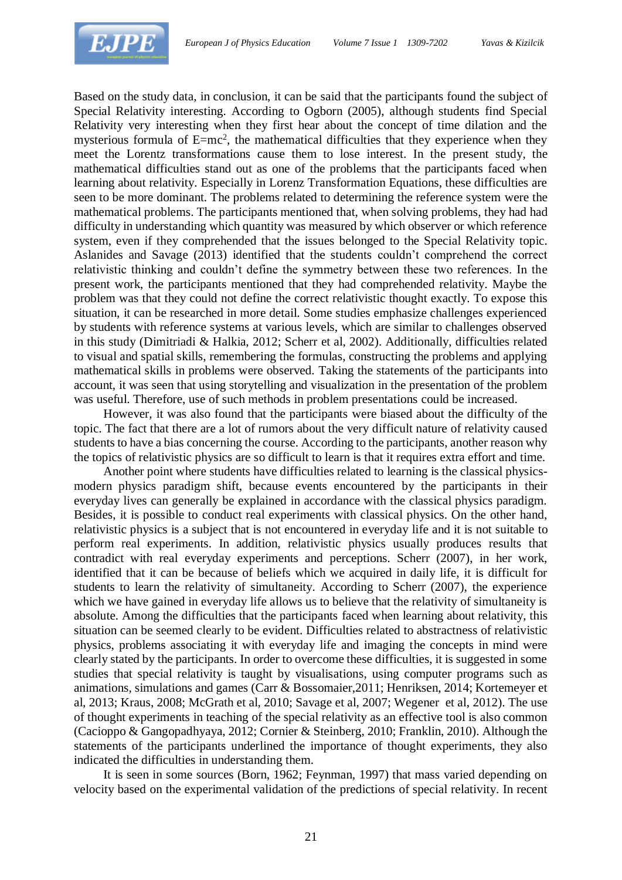

Based on the study data, in conclusion, it can be said that the participants found the subject of Special Relativity interesting. According to Ogborn (2005), although students find Special Relativity very interesting when they first hear about the concept of time dilation and the mysterious formula of  $E=mc^2$ , the mathematical difficulties that they experience when they meet the Lorentz transformations cause them to lose interest. In the present study, the mathematical difficulties stand out as one of the problems that the participants faced when learning about relativity. Especially in Lorenz Transformation Equations, these difficulties are seen to be more dominant. The problems related to determining the reference system were the mathematical problems. The participants mentioned that, when solving problems, they had had difficulty in understanding which quantity was measured by which observer or which reference system, even if they comprehended that the issues belonged to the Special Relativity topic. Aslanides and Savage (2013) identified that the students couldn't comprehend the correct relativistic thinking and couldn't define the symmetry between these two references. In the present work, the participants mentioned that they had comprehended relativity. Maybe the problem was that they could not define the correct relativistic thought exactly. To expose this situation, it can be researched in more detail. Some studies emphasize challenges experienced by students with reference systems at various levels, which are similar to challenges observed in this study (Dimitriadi & Halkia, 2012; Scherr et al, 2002). Additionally, difficulties related to visual and spatial skills, remembering the formulas, constructing the problems and applying mathematical skills in problems were observed. Taking the statements of the participants into account, it was seen that using storytelling and visualization in the presentation of the problem was useful. Therefore, use of such methods in problem presentations could be increased.

However, it was also found that the participants were biased about the difficulty of the topic. The fact that there are a lot of rumors about the very difficult nature of relativity caused students to have a bias concerning the course. According to the participants, another reason why the topics of relativistic physics are so difficult to learn is that it requires extra effort and time.

Another point where students have difficulties related to learning is the classical physicsmodern physics paradigm shift, because events encountered by the participants in their everyday lives can generally be explained in accordance with the classical physics paradigm. Besides, it is possible to conduct real experiments with classical physics. On the other hand, relativistic physics is a subject that is not encountered in everyday life and it is not suitable to perform real experiments. In addition, relativistic physics usually produces results that contradict with real everyday experiments and perceptions. Scherr (2007), in her work, identified that it can be because of beliefs which we acquired in daily life, it is difficult for students to learn the relativity of simultaneity. According to Scherr (2007), the experience which we have gained in everyday life allows us to believe that the relativity of simultaneity is absolute. Among the difficulties that the participants faced when learning about relativity, this situation can be seemed clearly to be evident. Difficulties related to abstractness of relativistic physics, problems associating it with everyday life and imaging the concepts in mind were clearly stated by the participants. In order to overcome these difficulties, it is suggested in some studies that special relativity is taught by visualisations, using computer programs such as animations, simulations and games (Carr & Bossomaier,2011; Henriksen, 2014; Kortemeyer et al, 2013; Kraus, 2008; McGrath et al, 2010; Savage et al, 2007; Wegener et al, 2012). The use of thought experiments in teaching of the special relativity as an effective tool is also common (Cacioppo & Gangopadhyaya, 2012; Cornier & Steinberg, 2010; Franklin, 2010). Although the statements of the participants underlined the importance of thought experiments, they also indicated the difficulties in understanding them.

It is seen in some sources (Born, 1962; Feynman, 1997) that mass varied depending on velocity based on the experimental validation of the predictions of special relativity. In recent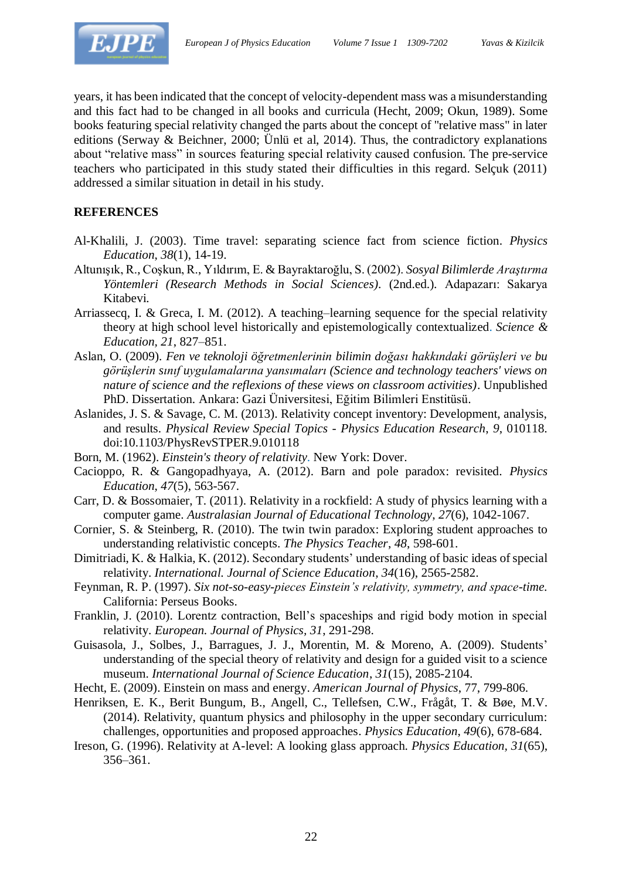

years, it has been indicated that the concept of velocity-dependent mass was a misunderstanding and this fact had to be changed in all books and curricula (Hecht, 2009; Okun, 1989). Some books featuring special relativity changed the parts about the concept of "relative mass" in later editions (Serway & Beichner, 2000; Ünlü et al, 2014). Thus, the contradictory explanations about "relative mass" in sources featuring special relativity caused confusion. The pre-service teachers who participated in this study stated their difficulties in this regard. Selçuk (2011) addressed a similar situation in detail in his study.

## **REFERENCES**

- Al-Khalili, J. (2003). Time travel: separating science fact from science fiction. *Physics Education*, *38*(1), 14-19.
- Altunışık, R., Coşkun, R., Yıldırım, E. & Bayraktaroğlu, S. (2002). *Sosyal Bilimlerde Araştırma Yöntemleri (Research Methods in Social Sciences).* (2nd.ed.)*.* Adapazarı: Sakarya Kitabevi.
- Arriassecq, I. & Greca, I. M. (2012). A teaching–learning sequence for the special relativity theory at high school level historically and epistemologically contextualized. *Science & Education, 21*, 827–851.
- Aslan, O. (2009). *Fen ve teknoloji öğretmenlerinin bilimin doğası hakkındaki görüşleri ve bu görüşlerin sınıf uygulamalarına yansımaları (Science and technology teachers' views on nature of science and the reflexions of these views on classroom activities)*. Unpublished PhD. Dissertation. Ankara: Gazi Üniversitesi, Eğitim Bilimleri Enstitüsü.
- Aslanides, J. S. & Savage, C. M. (2013). Relativity concept inventory: Development, analysis, and results. *Physical Review Special Topics - Physics Education Research*, *9*, 010118. doi:10.1103/PhysRevSTPER.9.010118
- Born, M. (1962). *Einstein's theory of relativity*. New York: Dover.
- Cacioppo, R. & Gangopadhyaya, A. (2012). Barn and pole paradox: revisited. *Physics Education*, *47*(5), 563-567.
- Carr, D. & Bossomaier, T. (2011). Relativity in a rockfield: A study of physics learning with a computer game. *Australasian Journal of Educational Technology*, *27*(6), 1042-1067.
- Cornier, S. & Steinberg, R. (2010). The twin twin paradox: Exploring student approaches to understanding relativistic concepts. *The Physics Teacher*, *48*, 598-601.
- Dimitriadi, K. & Halkia, K. (2012). Secondary students' understanding of basic ideas of special relativity. *International. Journal of Science Education*, *34*(16), 2565-2582.
- Feynman, R. P. (1997). *Six not-so-easy-pieces Einstein's relativity, symmetry, and space-time.* California: Perseus Books.
- Franklin, J. (2010). Lorentz contraction, Bell's spaceships and rigid body motion in special relativity. *European. Journal of Physics, 31*, 291-298.
- Guisasola, J., Solbes, J., Barragues, J. J., Morentin, M. & Moreno, A. (2009). Students' understanding of the special theory of relativity and design for a guided visit to a science museum. *International Journal of Science Education*, *31*(15), 2085-2104.
- Hecht, E. (2009). Einstein on mass and energy. *American Journal of Physics*, 77, 799-806.
- Henriksen, E. K., Berit Bungum, B., Angell, C., Tellefsen, C.W., Frågåt, T. & Bøe, M.V. (2014). Relativity, quantum physics and philosophy in the upper secondary curriculum: challenges, opportunities and proposed approaches. *Physics Education*, *49*(6), 678-684.
- Ireson, G. (1996). Relativity at A-level: A looking glass approach. *Physics Education, 31*(65), 356–361.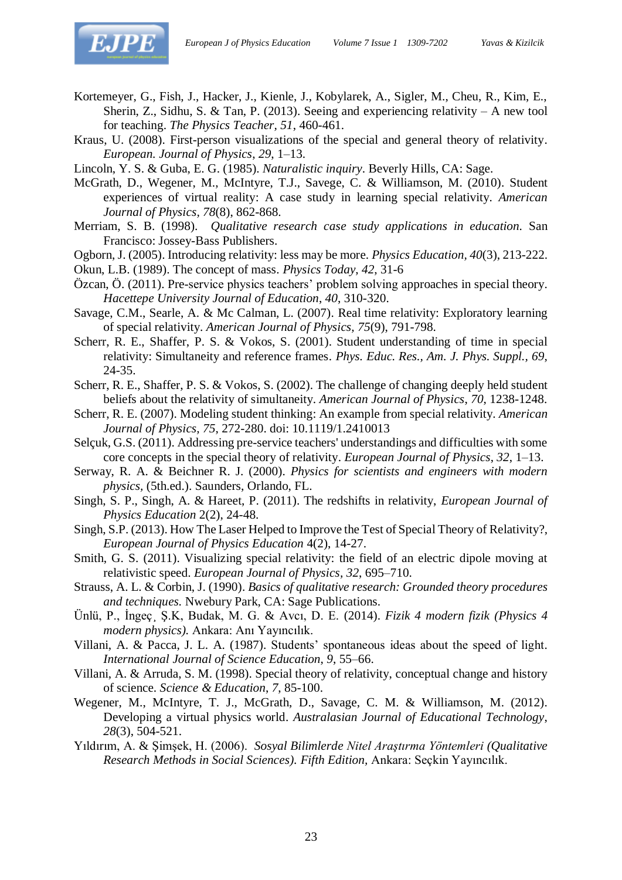

- Kortemeyer, G., Fish, J., Hacker, J., Kienle, J., Kobylarek, A., Sigler, M., Cheu, R., Kim, E., Sherin, Z., Sidhu, S. & Tan, P. (2013). Seeing and experiencing relativity – A new tool for teaching. *The Physics Teacher, 51*, 460-461.
- Kraus, U. (2008). First-person visualizations of the special and general theory of relativity. *European. Journal of Physics*, *29*, 1–13.

Lincoln, Y. S. & Guba, E. G. (1985). *Naturalistic inquiry*. Beverly Hills, CA: Sage.

- McGrath, D., Wegener, M., McIntyre, T.J., Savege, C. & Williamson, M. (2010). Student experiences of virtual reality: A case study in learning special relativity. *American Journal of Physics, 78*(8), 862-868.
- Merriam, S. B. (1998). *Qualitative research case study applications in education*. San Francisco: Jossey-Bass Publishers.
- Ogborn, J. (2005). Introducing relativity: less may be more. *Physics Education, 40*(3), 213-222.
- Okun, L.B. (1989). The concept of mass. *Physics Today*, *42*, 31-6
- Özcan, Ö. (2011). Pre-service physics teachers' problem solving approaches in special theory. *Hacettepe University Journal of Education*, *40*, 310-320.
- Savage, C.M., Searle, A. & Mc Calman, L. (2007). Real time relativity: Exploratory learning of special relativity. *American Journal of Physics, 75*(9), 791-798.
- Scherr, R. E., Shaffer, P. S. & Vokos, S. (2001). Student understanding of time in special relativity: Simultaneity and reference frames. *Phys. Educ. Res., Am. J. Phys. Suppl., 69*, 24-35.
- Scherr, R. E., Shaffer, P. S. & Vokos, S. (2002). The challenge of changing deeply held student beliefs about the relativity of simultaneity. *American Journal of Physics*, *70*, 1238-1248.
- Scherr, R. E. (2007). Modeling student thinking: An example from special relativity. *American Journal of Physics, 75*, 272-280. doi: 10.1119/1.2410013
- Selçuk, G.S. (2011). Addressing pre-service teachers' understandings and difficulties with some core concepts in the special theory of relativity. *European Journal of Physics*, *32*, 1–13.
- Serway, R. A. & Beichner R. J. (2000). *Physics for scientists and engineers with modern physics,* (5th.ed.). Saunders, Orlando, FL.
- Singh, S. P., Singh, A. & Hareet, P. (2011). The redshifts in relativity, *European Journal of Physics Education* 2(2), 24-48.
- Singh, S.P. (2013). How The Laser Helped to Improve the Test of Special Theory of Relativity?, *European Journal of Physics Education* 4(2), 14-27.
- Smith, G. S. (2011). Visualizing special relativity: the field of an electric dipole moving at relativistic speed. *European Journal of Physics, 32*, 695–710.
- Strauss, A. L. & Corbin, J. (1990). *Basics of qualitative research: Grounded theory procedures and techniques.* Nwebury Park, CA: Sage Publications.
- Ünlü, P., İngeç¸ Ş.K, Budak, M. G. & Avcı, D. E. (2014). *Fizik 4 modern fizik (Physics 4 modern physics).* Ankara: Anı Yayıncılık.
- Villani, A. & Pacca, J. L. A. (1987). Students' spontaneous ideas about the speed of light. *International Journal of Science Education*, *9*, 55–66.
- Villani, A. & Arruda, S. M. (1998). Special theory of relativity, conceptual change and history of science. *Science & Education*, *7*, 85-100.
- Wegener, M., McIntyre, T. J., McGrath, D., Savage, C. M. & Williamson, M. (2012). Developing a virtual physics world. *Australasian Journal of Educational Technology*, *28*(3), 504-521.
- Yıldırım, A. & Şimşek, H. (2006). *Sosyal Bilimlerde Nitel Araştırma Yöntemleri (Qualitative Research Methods in Social Sciences). Fifth Edition,* Ankara: Seçkin Yayıncılık.